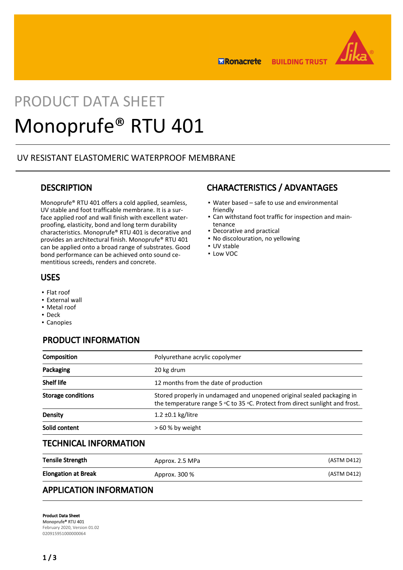

**BUILDING TRUST ERonacrete** 

# PRODUCT DATA SHEET Monoprufe® RTU 401

## UV RESISTANT ELASTOMERIC WATERPROOF MEMBRANE

## **DESCRIPTION**

Monoprufe® RTU 401 offers a cold applied, seamless, UV stable and foot trafficable membrane. It is a surface applied roof and wall finish with excellent waterproofing, elasticity, bond and long term durability characteristics. Monoprufe® RTU 401 is decorative and provides an architectural finish. Monoprufe® RTU 401 can be applied onto a broad range of substrates. Good bond performance can be achieved onto sound cementitious screeds, renders and concrete.

## USES

- Flat roof
- **External wall**
- Metal roof
- Deck
- Canopies

# PRODUCT INFORMATION

| Composition                  | Polyurethane acrylic copolymer                                                                                                                         |             |
|------------------------------|--------------------------------------------------------------------------------------------------------------------------------------------------------|-------------|
| Packaging                    | 20 kg drum                                                                                                                                             |             |
| <b>Shelf life</b>            | 12 months from the date of production                                                                                                                  |             |
| <b>Storage conditions</b>    | Stored properly in undamaged and unopened original sealed packaging in<br>the temperature range 5 °C to 35 °C. Protect from direct sunlight and frost. |             |
| <b>Density</b>               | $1.2 \pm 0.1$ kg/litre                                                                                                                                 |             |
| Solid content                | > 60 % by weight                                                                                                                                       |             |
| <b>TECHNICAL INFORMATION</b> |                                                                                                                                                        |             |
| <b>Tensile Strength</b>      | Approx. 2.5 MPa                                                                                                                                        | (ASTM D412) |

| TONONG OU GUNGEL           | APPIUA. 2.J IVIF Q | 1731111177121 |
|----------------------------|--------------------|---------------|
| <b>Elongation at Break</b> | Approx. 300 %      | (ASTM D412)   |
|                            |                    |               |

## APPLICATION INFORMATION

Product Data Sheet Monoprufe® RTU 401 February 2020, Version 01.02 020915951000000064

# CHARACTERISTICS / ADVANTAGES

- Water based safe to use and environmental friendly
- Can withstand foot traffic for inspection and main-▪ tenance
- Decorative and practical
- No discolouration, no yellowing
- UV stable
- Low VOC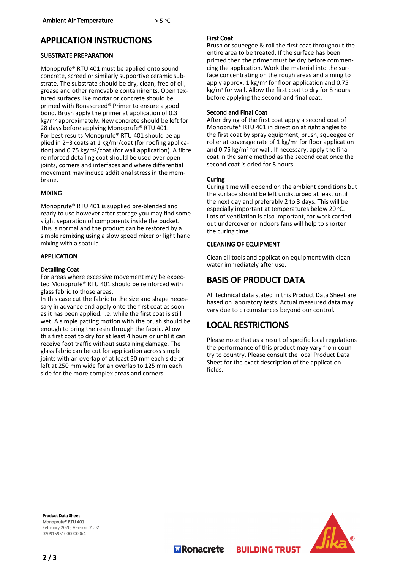## APPLICATION INSTRUCTIONS

## SUBSTRATE PREPARATION

Monoprufe® RTU 401 must be applied onto sound concrete, screed or similarly supportive ceramic substrate. The substrate should be dry, clean, free of oil, grease and other removable contaminents. Open textured surfaces like mortar or concrete should be primed with Ronascreed® Primer to ensure a good bond. Brush apply the primer at application of 0.3 kg/m2 approximately. New concrete should be left for 28 days before applying Monoprufe® RTU 401. For best results Monoprufe® RTU 401 should be applied in 2–3 coats at 1 kg/m2/coat (for roofing application) and 0.75 kg/m2/coat (for wall application). A fibre reinforced detailing coat should be used over open joints, corners and interfaces and where differential movement may induce additional stress in the membrane.

### MIXING

Monoprufe® RTU 401 is supplied pre-blended and ready to use however after storage you may find some slight separation of components inside the bucket. This is normal and the product can be restored by a simple remixing using a slow speed mixer or light hand mixing with a spatula.

#### APPLICATION

#### Detailing Coat

For areas where excessive movement may be expected Monoprufe® RTU 401 should be reinforced with glass fabric to those areas.

In this case cut the fabric to the size and shape necessary in advance and apply onto the first coat as soon as it has been applied. i.e. while the first coat is still wet. A simple patting motion with the brush should be enough to bring the resin through the fabric. Allow this first coat to dry for at least 4 hours or until it can receive foot traffic without sustaining damage. The glass fabric can be cut for application across simple joints with an overlap of at least 50 mm each side or left at 250 mm wide for an overlap to 125 mm each side for the more complex areas and corners.

#### First Coat

Brush or squeegee & roll the first coat throughout the entire area to be treated. If the surface has been primed then the primer must be dry before commencing the application. Work the material into the surface concentrating on the rough areas and aiming to apply approx.  $1 \text{ kg/m}^2$  for floor application and 0.75 kg/m<sup>2</sup> for wall. Allow the first coat to dry for 8 hours before applying the second and final coat.

#### Second and Final Coat

After drying of the first coat apply a second coat of Monoprufe® RTU 401 in direction at right angles to the first coat by spray equipment, brush, squeegee or roller at coverage rate of 1 kg/m2 for floor application and 0.75 kg/m2 for wall. If necessary, apply the final coat in the same method as the second coat once the second coat is dried for 8 hours.

#### **Curing**

Curing time will depend on the ambient conditions but the surface should be left undisturbed at least until the next day and preferably 2 to 3 days. This will be especially important at temperatures below 20 °C. Lots of ventilation is also important, for work carried out undercover or indoors fans will help to shorten the curing time.

## CLEANING OF EQUIPMENT

Clean all tools and application equipment with clean water immediately after use.

## BASIS OF PRODUCT DATA

All technical data stated in this Product Data Sheet are based on laboratory tests. Actual measured data may vary due to circumstances beyond our control.

# LOCAL RESTRICTIONS

Please note that as a result of specific local regulations the performance of this product may vary from country to country. Please consult the local Product Data Sheet for the exact description of the application fields.

**BUILDING TRUST** 

Product Data Sheet Monoprufe® RTU 401 February 2020, Version 01.02 020915951000000064



**M** Ronacrete